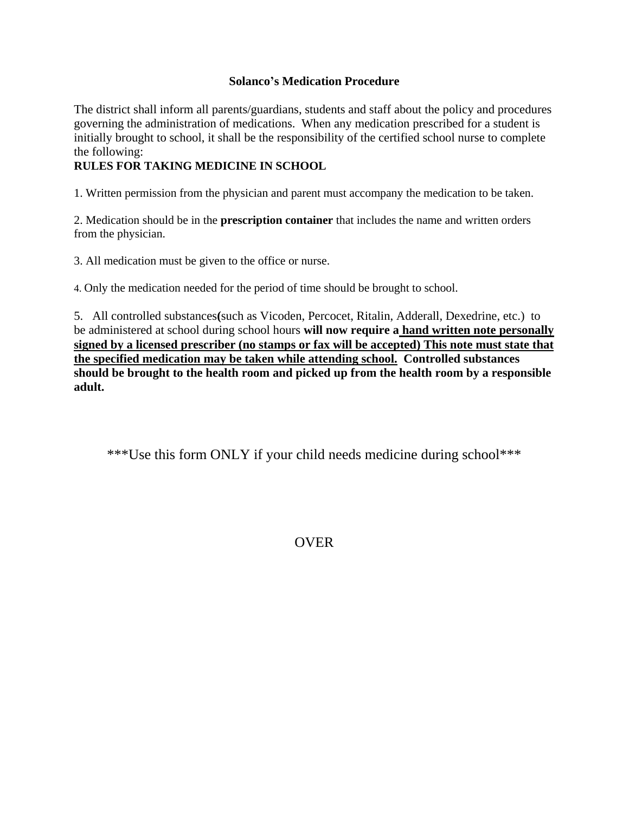## **Solanco's Medication Procedure**

The district shall inform all parents/guardians, students and staff about the policy and procedures governing the administration of medications. When any medication prescribed for a student is initially brought to school, it shall be the responsibility of the certified school nurse to complete the following:

## **RULES FOR TAKING MEDICINE IN SCHOOL**

1. Written permission from the physician and parent must accompany the medication to be taken.

2. Medication should be in the **prescription container** that includes the name and written orders from the physician.

3. All medication must be given to the office or nurse.

4. Only the medication needed for the period of time should be brought to school.

5. All controlled substances**(**such as Vicoden, Percocet, Ritalin, Adderall, Dexedrine, etc.) to be administered at school during school hours **will now require a hand written note personally signed by a licensed prescriber (no stamps or fax will be accepted) This note must state that the specified medication may be taken while attending school. Controlled substances should be brought to the health room and picked up from the health room by a responsible adult.**

\*\*\*Use this form ONLY if your child needs medicine during school\*\*\*

OVER